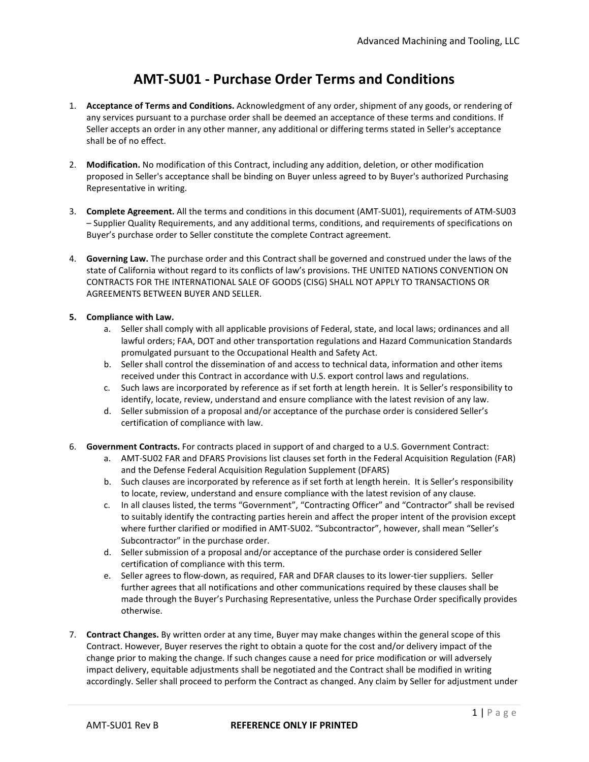## **AMT-SU01 - Purchase Order Terms and Conditions**

- 1. **Acceptance of Terms and Conditions.** Acknowledgment of any order, shipment of any goods, or rendering of any services pursuant to a purchase order shall be deemed an acceptance of these terms and conditions. If Seller accepts an order in any other manner, any additional or differing terms stated in Seller's acceptance shall be of no effect.
- 2. **Modification.** No modification of this Contract, including any addition, deletion, or other modification proposed in Seller's acceptance shall be binding on Buyer unless agreed to by Buyer's authorized Purchasing Representative in writing.
- 3. **Complete Agreement.** All the terms and conditions in this document (AMT-SU01), requirements of ATM-SU03 – Supplier Quality Requirements, and any additional terms, conditions, and requirements of specifications on Buyer's purchase order to Seller constitute the complete Contract agreement.
- 4. **Governing Law.** The purchase order and this Contract shall be governed and construed under the laws of the state of California without regard to its conflicts of law's provisions. THE UNITED NATIONS CONVENTION ON CONTRACTS FOR THE INTERNATIONAL SALE OF GOODS (CISG) SHALL NOT APPLY TO TRANSACTIONS OR AGREEMENTS BETWEEN BUYER AND SELLER.

## **5. Compliance with Law.**

- a. Seller shall comply with all applicable provisions of Federal, state, and local laws; ordinances and all lawful orders; FAA, DOT and other transportation regulations and Hazard Communication Standards promulgated pursuant to the Occupational Health and Safety Act.
- b. Seller shall control the dissemination of and access to technical data, information and other items received under this Contract in accordance with U.S. export control laws and regulations.
- c. Such laws are incorporated by reference as if set forth at length herein. It is Seller's responsibility to identify, locate, review, understand and ensure compliance with the latest revision of any law.
- d. Seller submission of a proposal and/or acceptance of the purchase order is considered Seller's certification of compliance with law.
- 6. **Government Contracts.** For contracts placed in support of and charged to a U.S. Government Contract:
	- a. AMT-SU02 FAR and DFARS Provisions list clauses set forth in the Federal Acquisition Regulation (FAR) and the Defense Federal Acquisition Regulation Supplement (DFARS)
	- b. Such clauses are incorporated by reference as if set forth at length herein. It is Seller's responsibility to locate, review, understand and ensure compliance with the latest revision of any clause.
	- c. In all clauses listed, the terms "Government", "Contracting Officer" and "Contractor" shall be revised to suitably identify the contracting parties herein and affect the proper intent of the provision except where further clarified or modified in AMT-SU02. "Subcontractor", however, shall mean "Seller's Subcontractor" in the purchase order.
	- d. Seller submission of a proposal and/or acceptance of the purchase order is considered Seller certification of compliance with this term.
	- e. Seller agrees to flow-down, as required, FAR and DFAR clauses to its lower-tier suppliers. Seller further agrees that all notifications and other communications required by these clauses shall be made through the Buyer's Purchasing Representative, unless the Purchase Order specifically provides otherwise.
- 7. **Contract Changes.** By written order at any time, Buyer may make changes within the general scope of this Contract. However, Buyer reserves the right to obtain a quote for the cost and/or delivery impact of the change prior to making the change. If such changes cause a need for price modification or will adversely impact delivery, equitable adjustments shall be negotiated and the Contract shall be modified in writing accordingly. Seller shall proceed to perform the Contract as changed. Any claim by Seller for adjustment under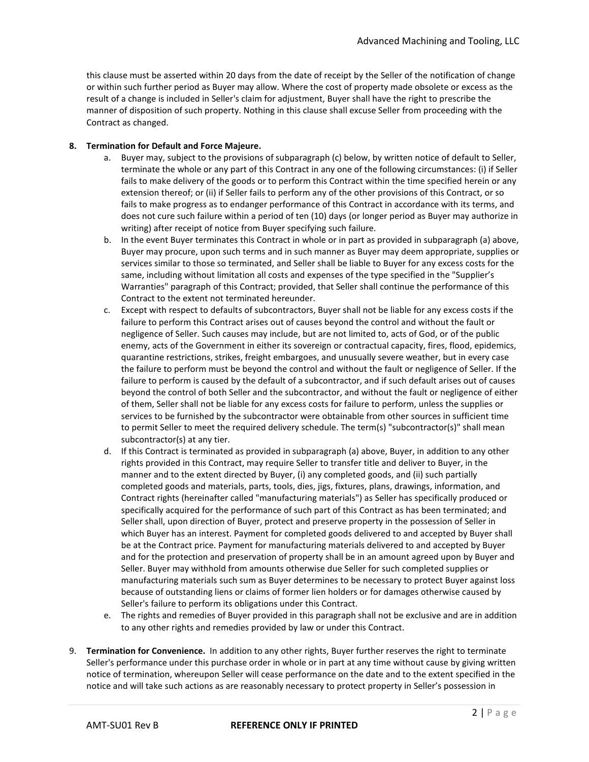this clause must be asserted within 20 days from the date of receipt by the Seller of the notification of change or within such further period as Buyer may allow. Where the cost of property made obsolete or excess as the result of a change is included in Seller's claim for adjustment, Buyer shall have the right to prescribe the manner of disposition of such property. Nothing in this clause shall excuse Seller from proceeding with the Contract as changed.

## **8. Termination for Default and Force Majeure.**

- a. Buyer may, subject to the provisions of subparagraph (c) below, by written notice of default to Seller, terminate the whole or any part of this Contract in any one of the following circumstances: (i) if Seller fails to make delivery of the goods or to perform this Contract within the time specified herein or any extension thereof; or (ii) if Seller fails to perform any of the other provisions of this Contract, or so fails to make progress as to endanger performance of this Contract in accordance with its terms, and does not cure such failure within a period of ten (10) days (or longer period as Buyer may authorize in writing) after receipt of notice from Buyer specifying such failure.
- b. In the event Buyer terminates this Contract in whole or in part as provided in subparagraph (a) above, Buyer may procure, upon such terms and in such manner as Buyer may deem appropriate, supplies or services similar to those so terminated, and Seller shall be liable to Buyer for any excess costs for the same, including without limitation all costs and expenses of the type specified in the "Supplier's Warranties" paragraph of this Contract; provided, that Seller shall continue the performance of this Contract to the extent not terminated hereunder.
- c. Except with respect to defaults of subcontractors, Buyer shall not be liable for any excess costs if the failure to perform this Contract arises out of causes beyond the control and without the fault or negligence of Seller. Such causes may include, but are not limited to, acts of God, or of the public enemy, acts of the Government in either its sovereign or contractual capacity, fires, flood, epidemics, quarantine restrictions, strikes, freight embargoes, and unusually severe weather, but in every case the failure to perform must be beyond the control and without the fault or negligence of Seller. If the failure to perform is caused by the default of a subcontractor, and if such default arises out of causes beyond the control of both Seller and the subcontractor, and without the fault or negligence of either of them, Seller shall not be liable for any excess costs for failure to perform, unless the supplies or services to be furnished by the subcontractor were obtainable from other sources in sufficient time to permit Seller to meet the required delivery schedule. The term(s) "subcontractor(s)" shall mean subcontractor(s) at any tier.
- d. If this Contract is terminated as provided in subparagraph (a) above, Buyer, in addition to any other rights provided in this Contract, may require Seller to transfer title and deliver to Buyer, in the manner and to the extent directed by Buyer, (i) any completed goods, and (ii) such partially completed goods and materials, parts, tools, dies, jigs, fixtures, plans, drawings, information, and Contract rights (hereinafter called "manufacturing materials") as Seller has specifically produced or specifically acquired for the performance of such part of this Contract as has been terminated; and Seller shall, upon direction of Buyer, protect and preserve property in the possession of Seller in which Buyer has an interest. Payment for completed goods delivered to and accepted by Buyer shall be at the Contract price. Payment for manufacturing materials delivered to and accepted by Buyer and for the protection and preservation of property shall be in an amount agreed upon by Buyer and Seller. Buyer may withhold from amounts otherwise due Seller for such completed supplies or manufacturing materials such sum as Buyer determines to be necessary to protect Buyer against loss because of outstanding liens or claims of former lien holders or for damages otherwise caused by Seller's failure to perform its obligations under this Contract.
- e. The rights and remedies of Buyer provided in this paragraph shall not be exclusive and are in addition to any other rights and remedies provided by law or under this Contract.
- 9. **Termination for Convenience.** In addition to any other rights, Buyer further reserves the right to terminate Seller's performance under this purchase order in whole or in part at any time without cause by giving written notice of termination, whereupon Seller will cease performance on the date and to the extent specified in the notice and will take such actions as are reasonably necessary to protect property in Seller's possession in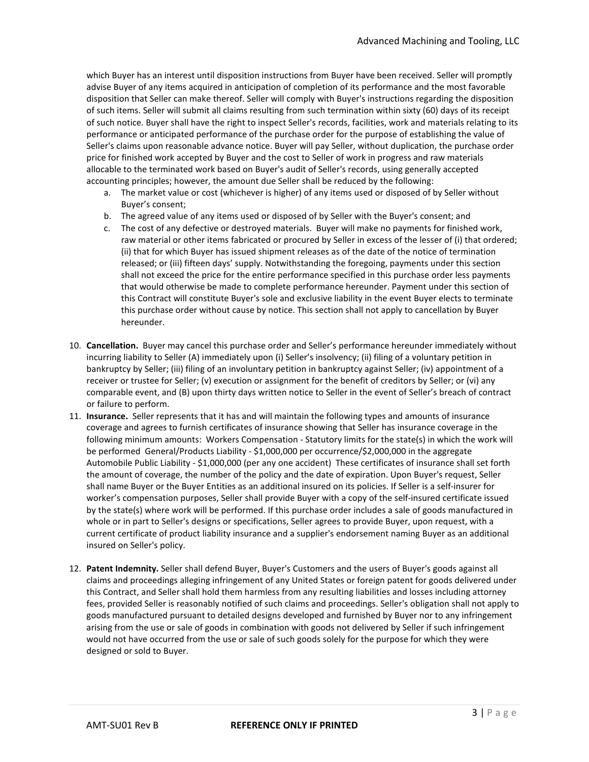which Buyer has an interest until disposition instructions from Buyer have been received. Seller will promptly advise Buyer of any items acquired in anticipation of completion of its performance and the most favorable disposition that Seller can make thereof. Seller will comply with Buyer's instructions regarding the disposition of such items. Seller will submit all claims resulting from such termination within sixty (60) days of its receipt of such notice. Buyer shall have the right to inspect Seller's records, facilities, work and materials relating to its performance or anticipated performance of the purchase order for the purpose of establishing the value of Seller's claims upon reasonable advance notice. Buyer will pay Seller, without duplication, the purchase order price for finished work accepted by Buyer and the cost to Seller of work in progress and raw materials allocable to the terminated work based on Buyer's audit of Seller's records, using generally accepted accounting principles; however, the amount due Seller shall be reduced by the following:

- a. The market value or cost (whichever is higher) of any items used or disposed of by Seller without Buyer's consent;
- b. The agreed value of any items used or disposed of by Seller with the Buyer's consent; and
- c. The cost of any defective or destroyed materials. Buyer will make no payments for finished work, raw material or other items fabricated or procured by Seller in excess of the lesser of (i) that ordered; (ii) that for which Buyer has issued shipment releases as of the date of the notice of termination released; or (iii) fifteen days' supply. Notwithstanding the foregoing, payments under this section shall not exceed the price for the entire performance specified in this purchase order less payments that would otherwise be made to complete performance hereunder. Payment under this section of this Contract will constitute Buyer's sole and exclusive liability in the event Buyer elects to terminate this purchase order without cause by notice. This section shall not apply to cancellation by Buyer hereunder.
- 10. **Cancellation.** Buyer may cancel this purchase order and Seller's performance hereunder immediately without incurring liability to Seller (A) immediately upon (i) Seller's insolvency; (ii) filing of a voluntary petition in bankruptcy by Seller; (iii) filing of an involuntary petition in bankruptcy against Seller; (iv) appointment of a receiver or trustee for Seller; (v) execution or assignment for the benefit of creditors by Seller; or (vi) any comparable event, and (B) upon thirty days written notice to Seller in the event of Seller's breach of contract or failure to perform.
- 11. **Insurance.** Seller represents that it has and will maintain the following types and amounts of insurance coverage and agrees to furnish certificates of insurance showing that Seller has insurance coverage in the following minimum amounts: Workers Compensation - Statutory limits for the state(s) in which the work will be performed General/Products Liability - \$1,000,000 per occurrence/\$2,000,000 in the aggregate Automobile Public Liability - \$1,000,000 (per any one accident) These certificates of insurance shall set forth the amount of coverage, the number of the policy and the date of expiration. Upon Buyer's request, Seller shall name Buyer or the Buyer Entities as an additional insured on its policies. If Seller is a self-insurer for worker's compensation purposes, Seller shall provide Buyer with a copy of the self-insured certificate issued by the state(s) where work will be performed. If this purchase order includes a sale of goods manufactured in whole or in part to Seller's designs or specifications, Seller agrees to provide Buyer, upon request, with a current certificate of product liability insurance and a supplier's endorsement naming Buyer as an additional insured on Seller's policy.
- 12. **Patent Indemnity.** Seller shall defend Buyer, Buyer's Customers and the users of Buyer's goods against all claims and proceedings alleging infringement of any United States or foreign patent for goods delivered under this Contract, and Seller shall hold them harmless from any resulting liabilities and losses including attorney fees, provided Seller is reasonably notified of such claims and proceedings. Seller's obligation shall not apply to goods manufactured pursuant to detailed designs developed and furnished by Buyer nor to any infringement arising from the use or sale of goods in combination with goods not delivered by Seller if such infringement would not have occurred from the use or sale of such goods solely for the purpose for which they were designed or sold to Buyer.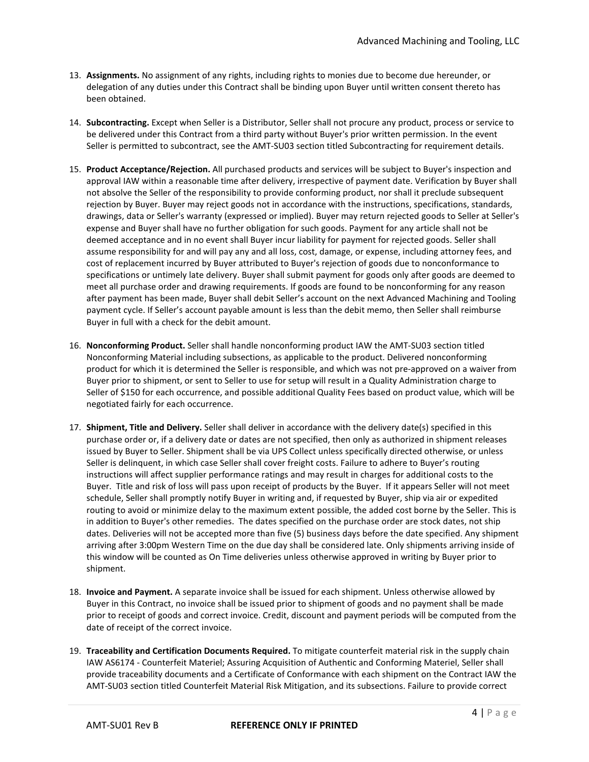- 13. **Assignments.** No assignment of any rights, including rights to monies due to become due hereunder, or delegation of any duties under this Contract shall be binding upon Buyer until written consent thereto has been obtained.
- 14. **Subcontracting.** Except when Seller is a Distributor, Seller shall not procure any product, process or service to be delivered under this Contract from a third party without Buyer's prior written permission. In the event Seller is permitted to subcontract, see the AMT-SU03 section titled Subcontracting for requirement details.
- 15. **Product Acceptance/Rejection.** All purchased products and services will be subject to Buyer's inspection and approval IAW within a reasonable time after delivery, irrespective of payment date. Verification by Buyer shall not absolve the Seller of the responsibility to provide conforming product, nor shall it preclude subsequent rejection by Buyer. Buyer may reject goods not in accordance with the instructions, specifications, standards, drawings, data or Seller's warranty (expressed or implied). Buyer may return rejected goods to Seller at Seller's expense and Buyer shall have no further obligation for such goods. Payment for any article shall not be deemed acceptance and in no event shall Buyer incur liability for payment for rejected goods. Seller shall assume responsibility for and will pay any and all loss, cost, damage, or expense, including attorney fees, and cost of replacement incurred by Buyer attributed to Buyer's rejection of goods due to nonconformance to specifications or untimely late delivery. Buyer shall submit payment for goods only after goods are deemed to meet all purchase order and drawing requirements. If goods are found to be nonconforming for any reason after payment has been made, Buyer shall debit Seller's account on the next Advanced Machining and Tooling payment cycle. If Seller's account payable amount is less than the debit memo, then Seller shall reimburse Buyer in full with a check for the debit amount.
- 16. **Nonconforming Product.** Seller shall handle nonconforming product IAW the AMT-SU03 section titled Nonconforming Material including subsections, as applicable to the product. Delivered nonconforming product for which it is determined the Seller is responsible, and which was not pre-approved on a waiver from Buyer prior to shipment, or sent to Seller to use for setup will result in a Quality Administration charge to Seller of \$150 for each occurrence, and possible additional Quality Fees based on product value, which will be negotiated fairly for each occurrence.
- 17. **Shipment, Title and Delivery.** Seller shall deliver in accordance with the delivery date(s) specified in this purchase order or, if a delivery date or dates are not specified, then only as authorized in shipment releases issued by Buyer to Seller. Shipment shall be via UPS Collect unless specifically directed otherwise, or unless Seller is delinquent, in which case Seller shall cover freight costs. Failure to adhere to Buyer's routing instructions will affect supplier performance ratings and may result in charges for additional costs to the Buyer. Title and risk of loss will pass upon receipt of products by the Buyer. If it appears Seller will not meet schedule, Seller shall promptly notify Buyer in writing and, if requested by Buyer, ship via air or expedited routing to avoid or minimize delay to the maximum extent possible, the added cost borne by the Seller. This is in addition to Buyer's other remedies. The dates specified on the purchase order are stock dates, not ship dates. Deliveries will not be accepted more than five (5) business days before the date specified. Any shipment arriving after 3:00pm Western Time on the due day shall be considered late. Only shipments arriving inside of this window will be counted as On Time deliveries unless otherwise approved in writing by Buyer prior to shipment.
- 18. **Invoice and Payment.** A separate invoice shall be issued for each shipment. Unless otherwise allowed by Buyer in this Contract, no invoice shall be issued prior to shipment of goods and no payment shall be made prior to receipt of goods and correct invoice. Credit, discount and payment periods will be computed from the date of receipt of the correct invoice.
- 19. **Traceability and Certification Documents Required.** To mitigate counterfeit material risk in the supply chain IAW AS6174 - Counterfeit Materiel; Assuring Acquisition of Authentic and Conforming Materiel, Seller shall provide traceability documents and a Certificate of Conformance with each shipment on the Contract IAW the AMT-SU03 section titled Counterfeit Material Risk Mitigation, and its subsections. Failure to provide correct